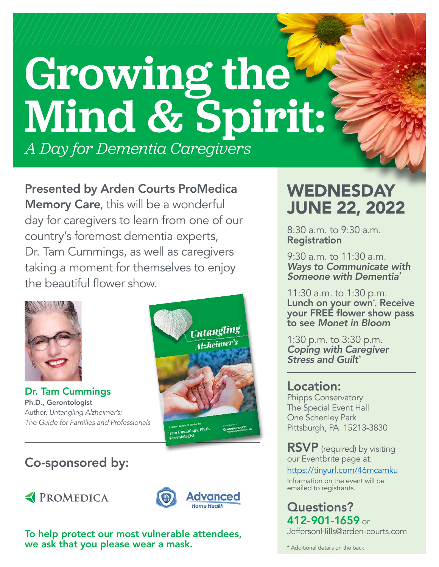# Growing the Mind & Spirit: *A Day for Dementia Caregivers*

Presented by Arden Courts ProMedica Memory Care, this will be a wonderful day for caregivers to learn from one of our country's foremost dementia experts, Dr. Tam Cummings, as well as caregivers taking a moment for themselves to enjoy the beautiful flower show.



Dr. Tam Cummings Ph.D., Gerontologist Author, *Untangling Alzheimer's: The Guide for Families and Professionals*



## Co-sponsored by:





To help protect our most vulnerable attendees, we ask that you please wear a mask.

## WEDNESDAY JUNE 22, 2022

8:30 a.m. to 9:30 a.m. Registration

9:30 a.m. to 11:30 a.m. *Ways to Communicate with Someone with Dementia\**

11:30 a.m. to 1:30 p.m. Lunch on your own<sup>\*</sup>. Receive your FREE flower show pass to see *Monet in Bloom*

1:30 p.m. to 3:30 p.m. *Coping with Caregiver Stress and Guilt\**

#### Location: Phipps Conservatory The Special Event Hall One Schenley Park Pittsburgh, PA 15213-3830

RSVP (required) by visiting our Eventbrite page at: <https://tinyurl.com/46mcamku> Information on the event will be emailed to registrants.

Questions? 412-901-1659 or [JeffersonHills@arden-courts.com](mailto:JeffersonHills@arden-courts.com)

\* Additional details on the back